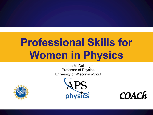# **Professional Skills for Women in Physics**

Laura McCullough Professor of Physics University of Wisconsin-Stout





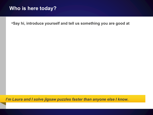#### **Who is here today?**

•**Say hi, introduce yourself and tell us something you are good at**

*I'm Laura and I solve jigsaw puzzles faster than anyone else I know.*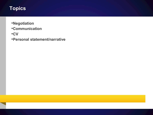# **Topics**

- •**Negotiation**
- •**Communication**
- •**CV**
- •**Personal statement/narrative**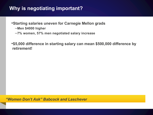## **Why is negotiating important?**

- •**Starting salaries uneven for Carnegie Mellon grads**
	- –**Men \$4000 higher**
	- –**7% women, 57% men negotiated salary increase**

•**\$5,000 difference in starting salary can mean \$500,000 difference by retirement!**

*"Women Don't Ask" Babcock and Laschever*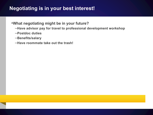#### **Negotiating is in your best interest!**

#### •**What negotiating might be in your future?**

- –**Have advisor pay for travel to professional development workshop**
- –**Postdoc duties**
- –**Benefits/salary**
- –**Have roommate take out the trash!**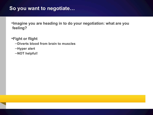#### **So you want to negotiate…**

•**Imagine you are heading in to do your negotiation: what are you feeling?** 

•**Fight or flight** –**Diverts blood from brain to muscles** –**Hyper alert** –**NOT helpful!**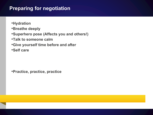## **Preparing for negotiation**

- •**Hydration**
- •**Breathe deeply**
- •**Superhero pose (Affects you and others!)**
- •**Talk to someone calm**
- •**Give yourself time before and after**
- •**Self care**

•**Practice, practice, practice**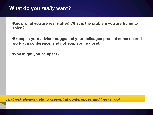- •**Know what you are really after! What is the problem you are trying to solve?**
- •**Example: your advisor suggested your colleague present some shared work at a conference, and not you. You're upset.**

•**Why might you be upset?**

*That jerk always gets to present at conferences and I never do!*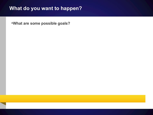## **What do you want to happen?**

•**What are some possible goals?**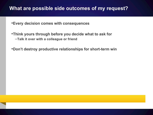#### **What are possible side outcomes of my request?**

- •**Every decision comes with consequences**
- •**Think yours through before you decide what to ask for** –**Talk it over with a colleague or friend**
- •**Don't destroy productive relationships for short-term win**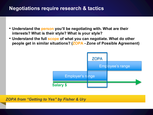## **Negotiations require research & tactics**

- **Understand the person you'll be negotiating with. What are their interests? What is their style? What is your style?**
- **Understand the full scope of what you can negotiate. What do other people get in similar situations? (ZOPA - Zone of Possible Agreement)**



*ZOPA from "Getting to Yes" by Fisher & Ury*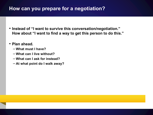#### **How can you prepare for a negotiation?**

- **Instead of "I want to survive this conversation/negotiation." How about "I want to find a way to get this person to do this."**
- **Plan ahead.**
	- **What must I have?**
	- **What can I live without?**
	- **What can I ask for instead?**
	- **At what point do I walk away?**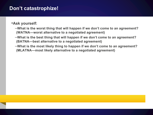#### **Don't catastrophize!**

#### •**Ask yourself:**

- –**What is the worst thing that will happen if we don't come to an agreement? (WATNA—worst alternative to a negotiated agreement)**
- –**What is the best thing that will happen if we don't come to an agreement? (BATNA—best alternative to a negotiated agreement)**
- –**What is the most likely thing to happen if we don't come to an agreement? (MLATNA—most likely alternative to a negotiated agreement)**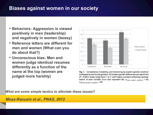#### **Biases against women in our society**

- **Behaviors: Aggression is viewed positively in men (leadership) and negatively in women (bossy)**
- **Reference letters are different for men and women (What can you do about that?)**
- **Unconscious bias: Men and women judge identical resumes differently as a function of the name at the top (women are judged more harshly)**



Fig. 1. Competence, hireability, and mentoring by student gender condition (collapsed across faculty gender). All student gender differences are significant  $(P < 0.001)$ . Scales range from 1 to 7, with higher numbers reflecting a greater extent of each variable. Error bars represent SEs.  $n_{male}$  student condition = 63,  $n_{\text{female student condition}} = 64.$ 

*What are some simple tactics to alleviate these issues?*

#### *Moss-Racusin et al., PNAS, 2012*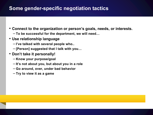## **Some gender-specific negotiation tactics**

- **Connect to the organization or person's goals, needs, or interests.**
	- **To be successful for the department, we will need…**
- **Use relationship language**
	- **I've talked with several people who..**
	- **[Person] suggested that I talk with you…**
- **Don't take it personally!**
	- **Know your purpose/goal**
	- **It's not about you, but about you in a role**
	- **Go around, over, under bad behavior**
	- **Try to view it as a game**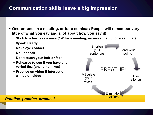## **Communication skills leave a big impression**

- **One-on-one, in a meeting, or for a seminar: People will remember very little of what you say and a lot about how you say it!**
	- **Stick to a few take-aways (1-2 for a meeting, no more than 3 for a seminar)**
	- **Speak clearly**
	- **Make eye contact**
	- **No upspeak**
	- **Don't touch your hair or face**
	- **Rehearse to see if you have any verbal tics (ahs, ums, likes)**
	- **Practice on video if interaction will be on video**



#### *Practice, practice, practice!*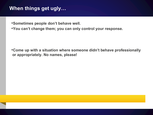## **When things get ugly…**

•**Sometimes people don't behave well.**

•**You can't change them; you can only control your response.**

•**Come up with a situation where someone didn't behave professionally or appropriately. No names, please!**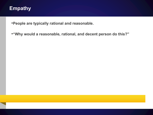#### **Empathy**

•**People are typically rational and reasonable.**

•**"Why would a reasonable, rational, and decent person do this?"**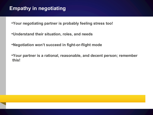## **Empathy in negotiating**

•**Your negotiating partner is probably feeling stress too!**

•**Understand their situation, roles, and needs**

•**Negotiation won't succeed in fight-or-flight mode**

•**Your partner is a rational, reasonable, and decent person; remember this!**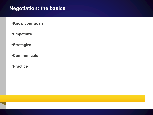## **Negotiation: the basics**

•**Know your goals**

- •**Empathize**
- •**Strategize**
- •**Communicate**
- •**Practice**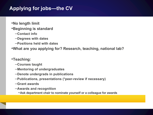# **Applying for jobs—the CV**

- •**No length limit**
- •**Beginning is standard**
	- –**Contact info**
	- –**Degrees with dates**
	- –**Positions held with dates**

•**What are you applying for? Research, teaching, national lab?**

#### •**Teaching:**

- –**Courses taught**
- –**Mentoring of undergraduates**
- –**Denote undergrads in publications**
- –**Publications, presentations (\*peer-review if necessary)**
- –**Grant awards**
- –**Awards and recognition**
	- •**Ask department chair to nominate yourself or a colleague for awards**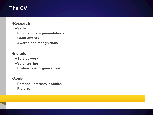# **The CV**

#### •**Research**

- –**Skills**
- –**Publications & presentations**
- –**Grant awards**
- –**Awards and recognitions**

#### •**Include:**

- –**Service work**
- –**Volunteering**
- –**Professional organizations**

#### •**Avoid:**

- –**Personal interests, hobbies**
- –**Pictures**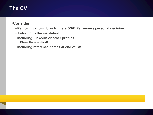# **The CV**

#### •**Consider:**

- –**Removing known bias triggers (WiBiPan)—very personal decision**
- –**Tailoring to the institution**
- –**Including LinkedIn or other profiles**
	- •**Clean them up first!**
- –**Including reference names at end of CV**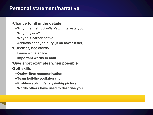#### **Personal statement/narrative**

- •**Chance to fill in the details**
	- –**Why this institution/lab/etc. interests you**
	- –**Why physics?**
	- –**Why this career path?**
	- –**Address each job duty (if no cover letter)**
- •**Succinct, not wordy**
	- –**Leave white space**
	- –**Important words in bold**
- •**Give short examples when possible**
- •**Soft skills**
	- –**Oral/written communication**
	- –**Team building/collaboration/**
	- –**Problem solving/analysis/big picture**
	- –**Words others have used to describe you**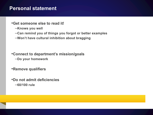#### **Personal statement**

#### •**Get someone else to read it!**

- –**Knows you well**
- –**Can remind you of things you forgot or better examples**
- –**Won't have cultural inhibition about bragging**

#### •**Connect to department's mission/goals**

- –**Do your homework**
- •**Remove qualifiers**
- •**Do not admit deficiencies** –**60/100 rule**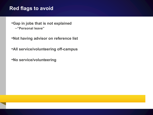#### **Red flags to avoid**

- •**Gap in jobs that is not explained** –**"Personal leave"**
- •**Not having advisor on reference list**
- •**All service/volunteering off-campus**
- •**No service/volunteering**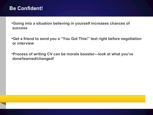#### **Be Confident!**

•**Going into a situation believing in yourself increases chances of success**

•**Get a friend to send you a "You Got This!" text right before negotiation or interview**

•**Process of writing CV can be morale booster—look at what you've done/learned/changed!**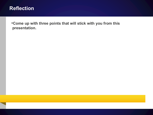

•**Come up with three points that will stick with you from this presentation.**